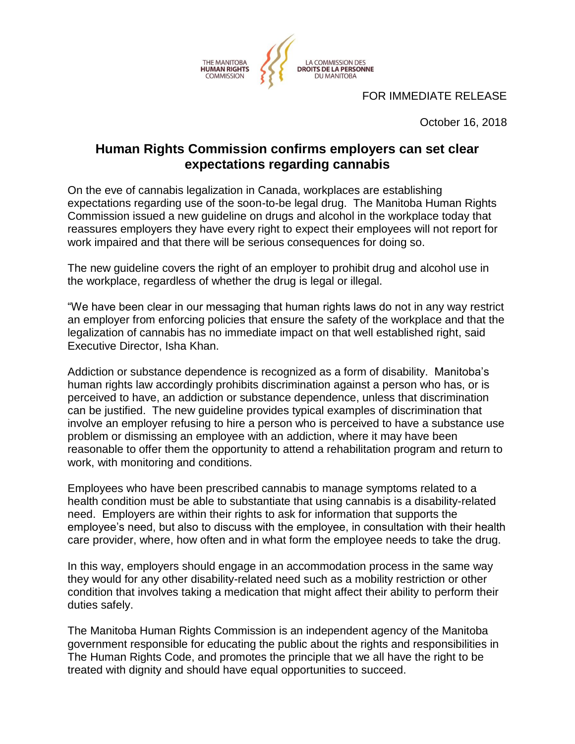

FOR IMMEDIATE RELEASE

October 16, 2018

## **Human Rights Commission confirms employers can set clear expectations regarding cannabis**

On the eve of cannabis legalization in Canada, workplaces are establishing expectations regarding use of the soon-to-be legal drug. The Manitoba Human Rights Commission issued a new guideline on drugs and alcohol in the workplace today that reassures employers they have every right to expect their employees will not report for work impaired and that there will be serious consequences for doing so.

The new guideline covers the right of an employer to prohibit drug and alcohol use in the workplace, regardless of whether the drug is legal or illegal.

"We have been clear in our messaging that human rights laws do not in any way restrict an employer from enforcing policies that ensure the safety of the workplace and that the legalization of cannabis has no immediate impact on that well established right, said Executive Director, Isha Khan.

Addiction or substance dependence is recognized as a form of disability. Manitoba's human rights law accordingly prohibits discrimination against a person who has, or is perceived to have, an addiction or substance dependence, unless that discrimination can be justified. The new guideline provides typical examples of discrimination that involve an employer refusing to hire a person who is perceived to have a substance use problem or dismissing an employee with an addiction, where it may have been reasonable to offer them the opportunity to attend a rehabilitation program and return to work, with monitoring and conditions.

Employees who have been prescribed cannabis to manage symptoms related to a health condition must be able to substantiate that using cannabis is a disability-related need. Employers are within their rights to ask for information that supports the employee's need, but also to discuss with the employee, in consultation with their health care provider, where, how often and in what form the employee needs to take the drug.

In this way, employers should engage in an accommodation process in the same way they would for any other disability-related need such as a mobility restriction or other condition that involves taking a medication that might affect their ability to perform their duties safely.

The Manitoba Human Rights Commission is an independent agency of the Manitoba government responsible for educating the public about the rights and responsibilities in The Human Rights Code, and promotes the principle that we all have the right to be treated with dignity and should have equal opportunities to succeed.